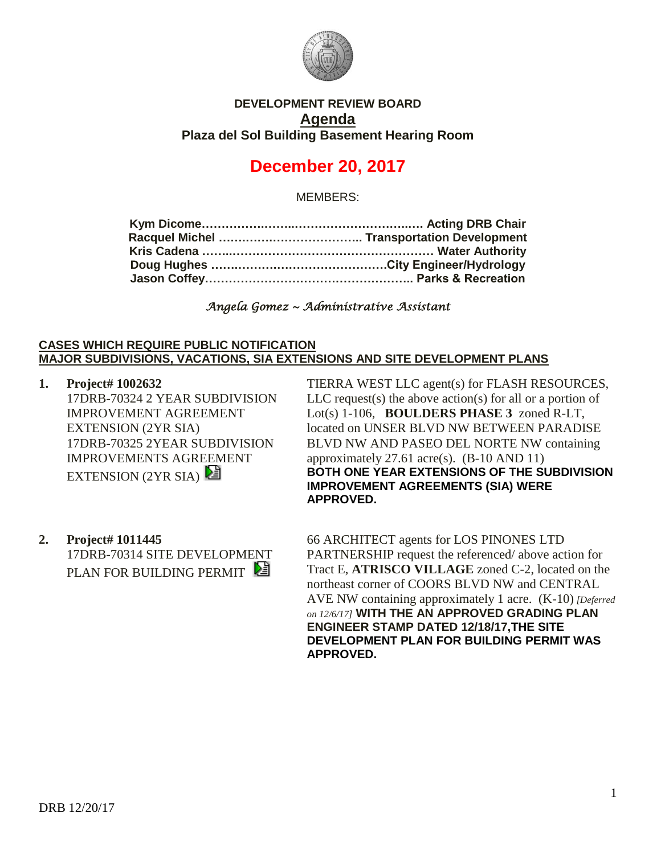

## **DEVELOPMENT REVIEW BOARD Agenda Plaza del Sol Building Basement Hearing Room**

# **December 20, 2017**

MEMBERS:

*Angela Gomez ~ Administrative Assistant* 

### **CASES WHICH REQUIRE PUBLIC NOTIFICATION MAJOR SUBDIVISIONS, VACATIONS, SIA EXTENSIONS AND SITE DEVELOPMENT PLANS**

- **1. Project# 1002632** 17DRB-70324 2 YEAR SUBDIVISION IMPROVEMENT AGREEMENT EXTENSION (2YR SIA) 17DRB-70325 2YEAR SUBDIVISION IMPROVEMENTS AGREEMENT EXTENSION (2YR SIA)
- **2. Project# 1011445** 17DRB-70314 SITE DEVELOPMENT PLAN FOR BUILDING PERMIT

TIERRA WEST LLC agent(s) for FLASH RESOURCES,  $LLC$  request(s) the above action(s) for all or a portion of Lot(s) 1-106, **BOULDERS PHASE 3** zoned R-LT, located on UNSER BLVD NW BETWEEN PARADISE BLVD NW AND PASEO DEL NORTE NW containing approximately 27.61 acre(s). (B-10 AND 11) **BOTH ONE YEAR EXTENSIONS OF THE SUBDIVISION IMPROVEMENT AGREEMENTS (SIA) WERE APPROVED.**

66 ARCHITECT agents for LOS PINONES LTD PARTNERSHIP request the referenced/ above action for Tract E, **ATRISCO VILLAGE** zoned C-2, located on the northeast corner of COORS BLVD NW and CENTRAL AVE NW containing approximately 1 acre. (K-10) *[Deferred on 12/6/17]* **WITH THE AN APPROVED GRADING PLAN ENGINEER STAMP DATED 12/18/17,THE SITE DEVELOPMENT PLAN FOR BUILDING PERMIT WAS APPROVED.**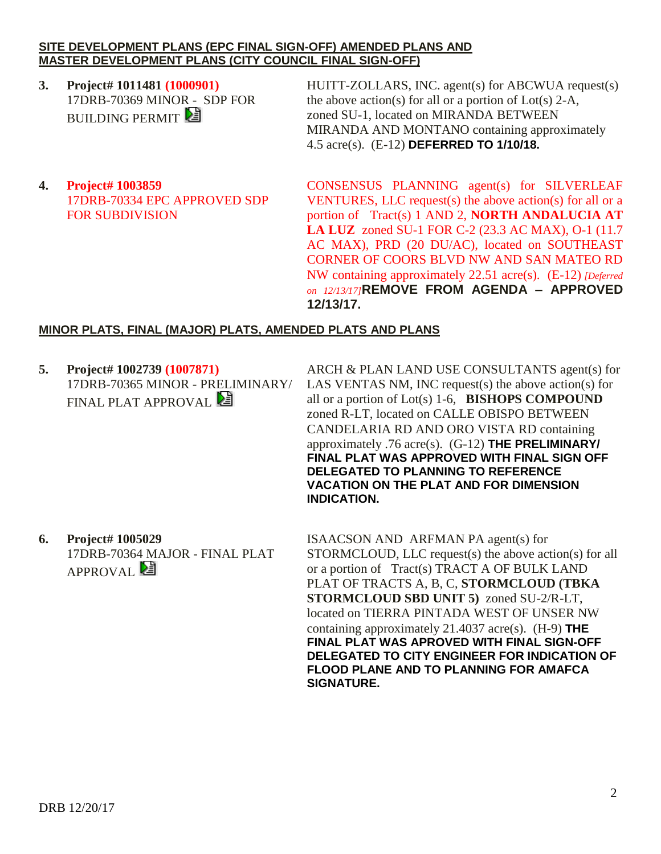#### **SITE DEVELOPMENT PLANS (EPC FINAL SIGN-OFF) AMENDED PLANS AND MASTER DEVELOPMENT PLANS (CITY COUNCIL FINAL SIGN-OFF)**

**3. Project# 1011481 (1000901)** 17DRB-70369 MINOR - SDP FOR **BUILDING PERMIT** 

HUITT-ZOLLARS, INC. agent(s) for ABCWUA request(s) the above action(s) for all or a portion of  $Lot(s)$  2-A, zoned SU-1, located on MIRANDA BETWEEN MIRANDA AND MONTANO containing approximately 4.5 acre(s). (E-12) **DEFERRED TO 1/10/18.**

**4. Project# 1003859** 17DRB-70334 EPC APPROVED SDP FOR SUBDIVISION

CONSENSUS PLANNING agent(s) for SILVERLEAF VENTURES, LLC request(s) the above action(s) for all or a portion of Tract(s) 1 AND 2, **NORTH ANDALUCIA AT LA LUZ** zoned SU-1 FOR C-2 (23.3 AC MAX), O-1 (11.7 AC MAX), PRD (20 DU/AC), located on SOUTHEAST CORNER OF COORS BLVD NW AND SAN MATEO RD NW containing approximately 22.51 acre(s). (E-12) *[Deferred on 12/13/17]***REMOVE FROM AGENDA – APPROVED 12/13/17.**

## **MINOR PLATS, FINAL (MAJOR) PLATS, AMENDED PLATS AND PLANS**

**5. Project# 1002739 (1007871)** 17DRB-70365 MINOR - PRELIMINARY/ FINAL PLAT APPROVAL

ARCH & PLAN LAND USE CONSULTANTS agent(s) for LAS VENTAS NM, INC request(s) the above action(s) for all or a portion of Lot(s) 1-6, **BISHOPS COMPOUND** zoned R-LT, located on CALLE OBISPO BETWEEN CANDELARIA RD AND ORO VISTA RD containing approximately .76 acre(s). (G-12) **THE PRELIMINARY/ FINAL PLAT WAS APPROVED WITH FINAL SIGN OFF DELEGATED TO PLANNING TO REFERENCE VACATION ON THE PLAT AND FOR DIMENSION INDICATION.**

**6. Project# 1005029** 17DRB-70364 MAJOR - FINAL PLAT APPROVAL<sup>[24]</sup>

ISAACSON AND ARFMAN PA agent(s) for STORMCLOUD, LLC request(s) the above action(s) for all or a portion of Tract(s) TRACT A OF BULK LAND PLAT OF TRACTS A, B, C, **STORMCLOUD (TBKA STORMCLOUD SBD UNIT 5)** zoned SU-2/R-LT, located on TIERRA PINTADA WEST OF UNSER NW containing approximately 21.4037 acre(s). (H-9) **THE FINAL PLAT WAS APROVED WITH FINAL SIGN-OFF DELEGATED TO CITY ENGINEER FOR INDICATION OF FLOOD PLANE AND TO PLANNING FOR AMAFCA SIGNATURE.**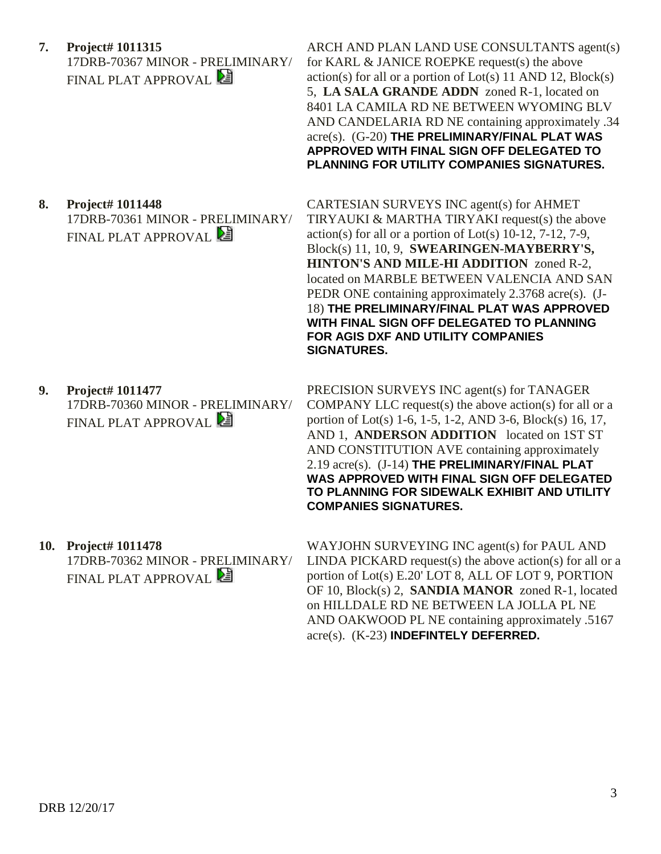- **7. Project# 1011315** 17DRB-70367 MINOR - PRELIMINARY/ FINAL PLAT APPROVAL
- ARCH AND PLAN LAND USE CONSULTANTS agent(s) for KARL & JANICE ROEPKE request(s) the above  $action(s)$  for all or a portion of  $Lot(s)$  11 AND 12,  $Block(s)$ 5, **LA SALA GRANDE ADDN** zoned R-1, located on 8401 LA CAMILA RD NE BETWEEN WYOMING BLV AND CANDELARIA RD NE containing approximately .34 acre(s). (G-20) **THE PRELIMINARY/FINAL PLAT WAS APPROVED WITH FINAL SIGN OFF DELEGATED TO PLANNING FOR UTILITY COMPANIES SIGNATURES.**
- **8. Project# 1011448** 17DRB-70361 MINOR - PRELIMINARY/ FINAL PLAT APPROVAL **PE**

CARTESIAN SURVEYS INC agent(s) for AHMET TIRYAUKI & MARTHA TIRYAKI request(s) the above  $action(s)$  for all or a portion of  $Lot(s)$  10-12, 7-12, 7-9, Block(s) 11, 10, 9, **SWEARINGEN-MAYBERRY'S, HINTON'S AND MILE-HI ADDITION** zoned R-2, located on MARBLE BETWEEN VALENCIA AND SAN PEDR ONE containing approximately 2.3768 acre(s). (J-18) **THE PRELIMINARY/FINAL PLAT WAS APPROVED WITH FINAL SIGN OFF DELEGATED TO PLANNING FOR AGIS DXF AND UTILITY COMPANIES SIGNATURES.**

**9. Project# 1011477**

17DRB-70360 MINOR - PRELIMINARY/ FINAL PLAT APPROVAL

PRECISION SURVEYS INC agent(s) for TANAGER COMPANY LLC request(s) the above action(s) for all or a portion of Lot(s) 1-6, 1-5, 1-2, AND 3-6, Block(s) 16, 17, AND 1, **ANDERSON ADDITION** located on 1ST ST AND CONSTITUTION AVE containing approximately 2.19 acre(s). (J-14) **THE PRELIMINARY/FINAL PLAT WAS APPROVED WITH FINAL SIGN OFF DELEGATED TO PLANNING FOR SIDEWALK EXHIBIT AND UTILITY COMPANIES SIGNATURES.**

**10. Project# 1011478**

17DRB-70362 MINOR - PRELIMINARY/ FINAL PLAT APPROVAL **PE** 

WAYJOHN SURVEYING INC agent(s) for PAUL AND LINDA PICKARD request(s) the above action(s) for all or a portion of Lot(s) E.20' LOT 8, ALL OF LOT 9, PORTION OF 10, Block(s) 2, **SANDIA MANOR** zoned R-1, located on HILLDALE RD NE BETWEEN LA JOLLA PL NE AND OAKWOOD PL NE containing approximately .5167 acre(s). (K-23) **INDEFINTELY DEFERRED.**